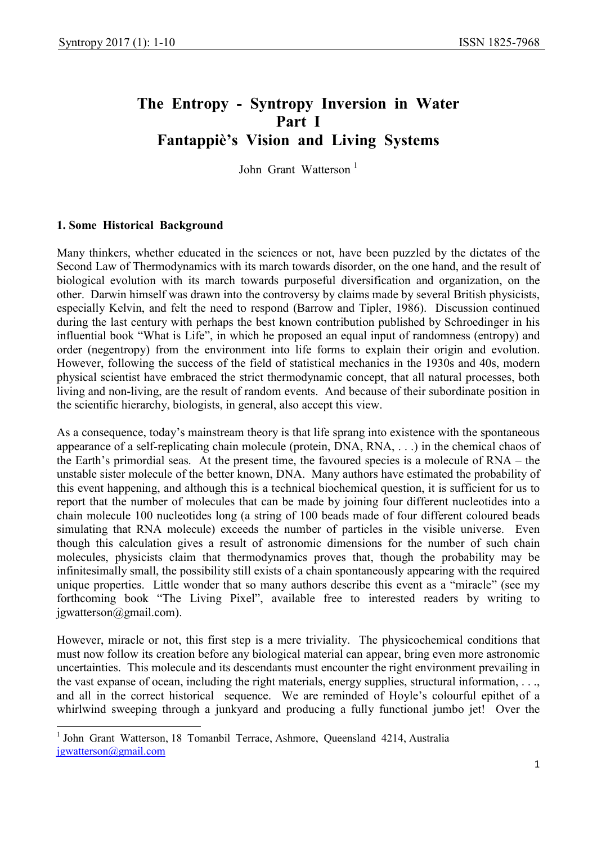# The Entropy - Syntropy Inversion in Water Part I Fantappiè's Vision and Living Systems

John Grant Watterson<sup>1</sup>

## 1. Some Historical Background

-

Many thinkers, whether educated in the sciences or not, have been puzzled by the dictates of the Second Law of Thermodynamics with its march towards disorder, on the one hand, and the result of biological evolution with its march towards purposeful diversification and organization, on the other. Darwin himself was drawn into the controversy by claims made by several British physicists, especially Kelvin, and felt the need to respond (Barrow and Tipler, 1986). Discussion continued during the last century with perhaps the best known contribution published by Schroedinger in his influential book "What is Life", in which he proposed an equal input of randomness (entropy) and order (negentropy) from the environment into life forms to explain their origin and evolution. However, following the success of the field of statistical mechanics in the 1930s and 40s, modern physical scientist have embraced the strict thermodynamic concept, that all natural processes, both living and non-living, are the result of random events. And because of their subordinate position in the scientific hierarchy, biologists, in general, also accept this view.

As a consequence, today's mainstream theory is that life sprang into existence with the spontaneous appearance of a self-replicating chain molecule (protein, DNA, RNA, . . .) in the chemical chaos of the Earth's primordial seas. At the present time, the favoured species is a molecule of RNA – the unstable sister molecule of the better known, DNA. Many authors have estimated the probability of this event happening, and although this is a technical biochemical question, it is sufficient for us to report that the number of molecules that can be made by joining four different nucleotides into a chain molecule 100 nucleotides long (a string of 100 beads made of four different coloured beads simulating that RNA molecule) exceeds the number of particles in the visible universe. Even though this calculation gives a result of astronomic dimensions for the number of such chain molecules, physicists claim that thermodynamics proves that, though the probability may be infinitesimally small, the possibility still exists of a chain spontaneously appearing with the required unique properties. Little wonder that so many authors describe this event as a "miracle" (see my forthcoming book "The Living Pixel", available free to interested readers by writing to jgwatterson@gmail.com).

However, miracle or not, this first step is a mere triviality. The physicochemical conditions that must now follow its creation before any biological material can appear, bring even more astronomic uncertainties. This molecule and its descendants must encounter the right environment prevailing in the vast expanse of ocean, including the right materials, energy supplies, structural information, . . ., and all in the correct historical sequence. We are reminded of Hoyle's colourful epithet of a whirlwind sweeping through a junkyard and producing a fully functional jumbo jet! Over the

<sup>&</sup>lt;sup>1</sup> John Grant Watterson, 18 Tomanbil Terrace, Ashmore, Queensland 4214, Australia jgwatterson@gmail.com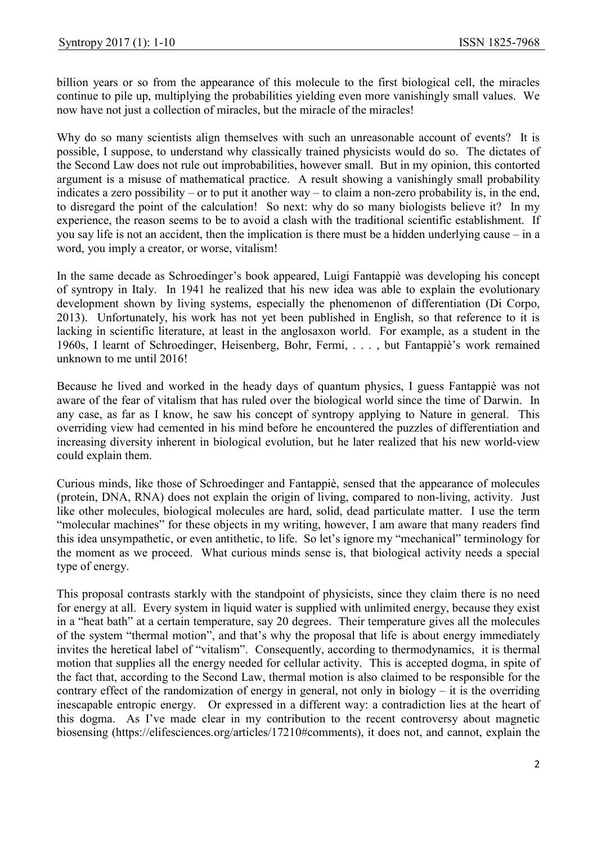billion years or so from the appearance of this molecule to the first biological cell, the miracles continue to pile up, multiplying the probabilities yielding even more vanishingly small values. We now have not just a collection of miracles, but the miracle of the miracles!

Why do so many scientists align themselves with such an unreasonable account of events? It is possible, I suppose, to understand why classically trained physicists would do so. The dictates of the Second Law does not rule out improbabilities, however small. But in my opinion, this contorted argument is a misuse of mathematical practice. A result showing a vanishingly small probability indicates a zero possibility – or to put it another way – to claim a non-zero probability is, in the end, to disregard the point of the calculation! So next: why do so many biologists believe it? In my experience, the reason seems to be to avoid a clash with the traditional scientific establishment. If you say life is not an accident, then the implication is there must be a hidden underlying cause – in a word, you imply a creator, or worse, vitalism!

In the same decade as Schroedinger's book appeared, Luigi Fantappiè was developing his concept of syntropy in Italy. In 1941 he realized that his new idea was able to explain the evolutionary development shown by living systems, especially the phenomenon of differentiation (Di Corpo, 2013). Unfortunately, his work has not yet been published in English, so that reference to it is lacking in scientific literature, at least in the anglosaxon world. For example, as a student in the 1960s, I learnt of Schroedinger, Heisenberg, Bohr, Fermi, . . . , but Fantappiè's work remained unknown to me until 2016!

Because he lived and worked in the heady days of quantum physics, I guess Fantappiè was not aware of the fear of vitalism that has ruled over the biological world since the time of Darwin. In any case, as far as I know, he saw his concept of syntropy applying to Nature in general. This overriding view had cemented in his mind before he encountered the puzzles of differentiation and increasing diversity inherent in biological evolution, but he later realized that his new world-view could explain them.

Curious minds, like those of Schroedinger and Fantappiè, sensed that the appearance of molecules (protein, DNA, RNA) does not explain the origin of living, compared to non-living, activity. Just like other molecules, biological molecules are hard, solid, dead particulate matter. I use the term "molecular machines" for these objects in my writing, however, I am aware that many readers find this idea unsympathetic, or even antithetic, to life. So let's ignore my "mechanical" terminology for the moment as we proceed. What curious minds sense is, that biological activity needs a special type of energy.

This proposal contrasts starkly with the standpoint of physicists, since they claim there is no need for energy at all. Every system in liquid water is supplied with unlimited energy, because they exist in a "heat bath" at a certain temperature, say 20 degrees. Their temperature gives all the molecules of the system "thermal motion", and that's why the proposal that life is about energy immediately invites the heretical label of "vitalism". Consequently, according to thermodynamics, it is thermal motion that supplies all the energy needed for cellular activity. This is accepted dogma, in spite of the fact that, according to the Second Law, thermal motion is also claimed to be responsible for the contrary effect of the randomization of energy in general, not only in biology – it is the overriding inescapable entropic energy. Or expressed in a different way: a contradiction lies at the heart of this dogma. As I've made clear in my contribution to the recent controversy about magnetic biosensing (https://elifesciences.org/articles/17210#comments), it does not, and cannot, explain the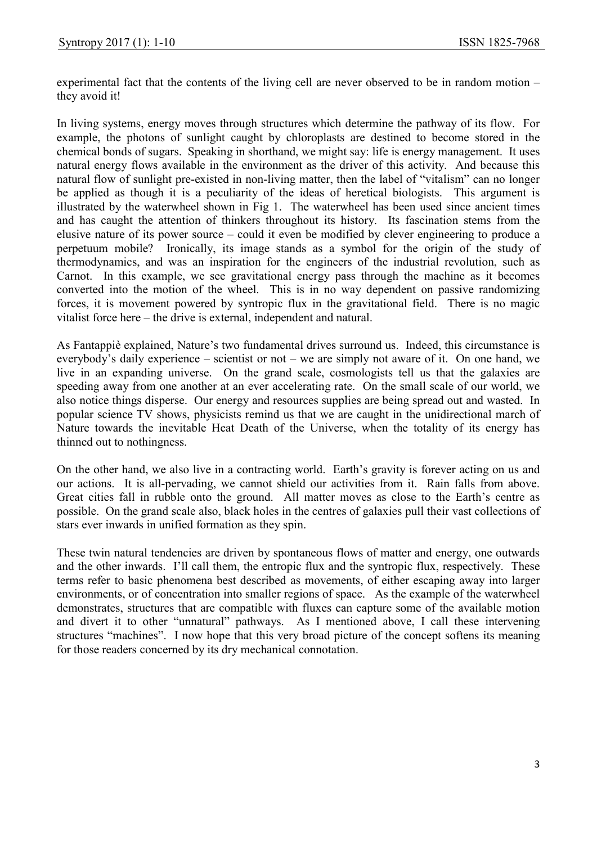experimental fact that the contents of the living cell are never observed to be in random motion – they avoid it!

In living systems, energy moves through structures which determine the pathway of its flow. For example, the photons of sunlight caught by chloroplasts are destined to become stored in the chemical bonds of sugars. Speaking in shorthand, we might say: life is energy management. It uses natural energy flows available in the environment as the driver of this activity. And because this natural flow of sunlight pre-existed in non-living matter, then the label of "vitalism" can no longer be applied as though it is a peculiarity of the ideas of heretical biologists. This argument is illustrated by the waterwheel shown in Fig 1. The waterwheel has been used since ancient times and has caught the attention of thinkers throughout its history. Its fascination stems from the elusive nature of its power source – could it even be modified by clever engineering to produce a perpetuum mobile? Ironically, its image stands as a symbol for the origin of the study of thermodynamics, and was an inspiration for the engineers of the industrial revolution, such as Carnot. In this example, we see gravitational energy pass through the machine as it becomes converted into the motion of the wheel. This is in no way dependent on passive randomizing forces, it is movement powered by syntropic flux in the gravitational field. There is no magic vitalist force here – the drive is external, independent and natural.

As Fantappiè explained, Nature's two fundamental drives surround us. Indeed, this circumstance is everybody's daily experience – scientist or not – we are simply not aware of it. On one hand, we live in an expanding universe. On the grand scale, cosmologists tell us that the galaxies are speeding away from one another at an ever accelerating rate. On the small scale of our world, we also notice things disperse. Our energy and resources supplies are being spread out and wasted. In popular science TV shows, physicists remind us that we are caught in the unidirectional march of Nature towards the inevitable Heat Death of the Universe, when the totality of its energy has thinned out to nothingness.

On the other hand, we also live in a contracting world. Earth's gravity is forever acting on us and our actions. It is all-pervading, we cannot shield our activities from it. Rain falls from above. Great cities fall in rubble onto the ground. All matter moves as close to the Earth's centre as possible. On the grand scale also, black holes in the centres of galaxies pull their vast collections of stars ever inwards in unified formation as they spin.

These twin natural tendencies are driven by spontaneous flows of matter and energy, one outwards and the other inwards. I'll call them, the entropic flux and the syntropic flux, respectively. These terms refer to basic phenomena best described as movements, of either escaping away into larger environments, or of concentration into smaller regions of space. As the example of the waterwheel demonstrates, structures that are compatible with fluxes can capture some of the available motion and divert it to other "unnatural" pathways. As I mentioned above, I call these intervening structures "machines". I now hope that this very broad picture of the concept softens its meaning for those readers concerned by its dry mechanical connotation.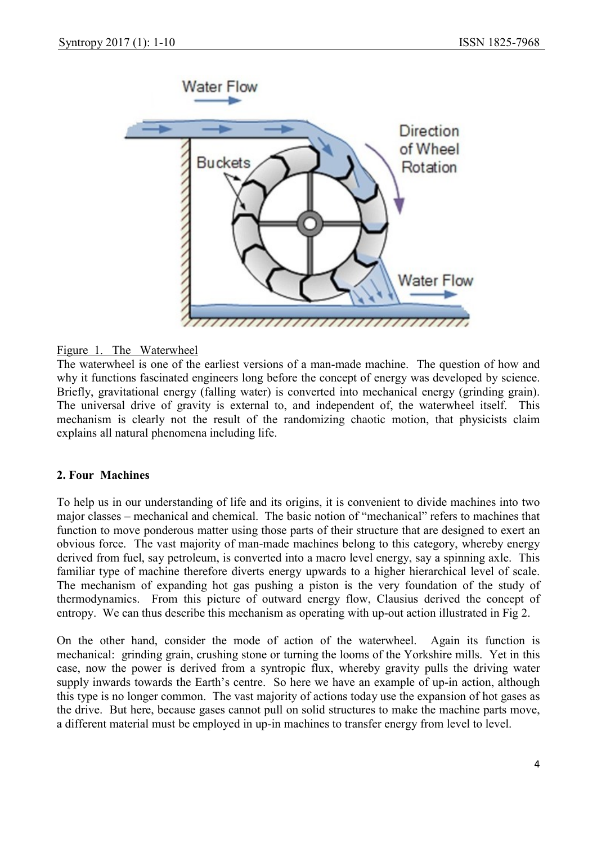

## Figure 1. The Waterwheel

The waterwheel is one of the earliest versions of a man-made machine. The question of how and why it functions fascinated engineers long before the concept of energy was developed by science. Briefly, gravitational energy (falling water) is converted into mechanical energy (grinding grain). The universal drive of gravity is external to, and independent of, the waterwheel itself. This mechanism is clearly not the result of the randomizing chaotic motion, that physicists claim explains all natural phenomena including life.

#### 2. Four Machines

To help us in our understanding of life and its origins, it is convenient to divide machines into two major classes – mechanical and chemical. The basic notion of "mechanical" refers to machines that function to move ponderous matter using those parts of their structure that are designed to exert an obvious force. The vast majority of man-made machines belong to this category, whereby energy derived from fuel, say petroleum, is converted into a macro level energy, say a spinning axle. This familiar type of machine therefore diverts energy upwards to a higher hierarchical level of scale. The mechanism of expanding hot gas pushing a piston is the very foundation of the study of thermodynamics. From this picture of outward energy flow, Clausius derived the concept of entropy. We can thus describe this mechanism as operating with up-out action illustrated in Fig 2.

On the other hand, consider the mode of action of the waterwheel. Again its function is mechanical: grinding grain, crushing stone or turning the looms of the Yorkshire mills. Yet in this case, now the power is derived from a syntropic flux, whereby gravity pulls the driving water supply inwards towards the Earth's centre. So here we have an example of up-in action, although this type is no longer common. The vast majority of actions today use the expansion of hot gases as the drive. But here, because gases cannot pull on solid structures to make the machine parts move, a different material must be employed in up-in machines to transfer energy from level to level.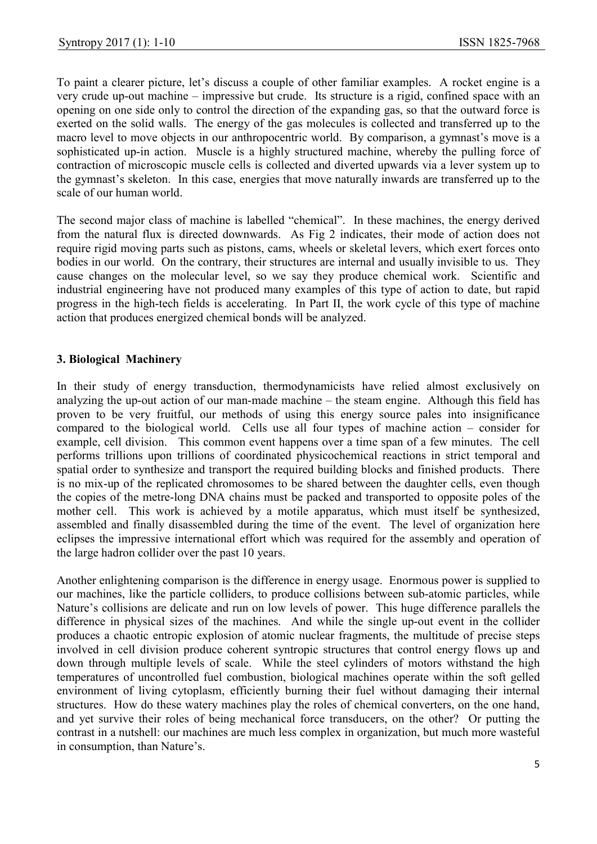To paint a clearer picture, let's discuss a couple of other familiar examples. A rocket engine is a very crude up-out machine – impressive but crude. Its structure is a rigid, confined space with an opening on one side only to control the direction of the expanding gas, so that the outward force is exerted on the solid walls. The energy of the gas molecules is collected and transferred up to the macro level to move objects in our anthropocentric world. By comparison, a gymnast's move is a sophisticated up-in action. Muscle is a highly structured machine, whereby the pulling force of contraction of microscopic muscle cells is collected and diverted upwards via a lever system up to the gymnast's skeleton. In this case, energies that move naturally inwards are transferred up to the scale of our human world.

The second major class of machine is labelled "chemical". In these machines, the energy derived from the natural flux is directed downwards. As Fig 2 indicates, their mode of action does not require rigid moving parts such as pistons, cams, wheels or skeletal levers, which exert forces onto bodies in our world. On the contrary, their structures are internal and usually invisible to us. They cause changes on the molecular level, so we say they produce chemical work. Scientific and industrial engineering have not produced many examples of this type of action to date, but rapid progress in the high-tech fields is accelerating. In Part II, the work cycle of this type of machine action that produces energized chemical bonds will be analyzed.

## 3. Biological Machinery

In their study of energy transduction, thermodynamicists have relied almost exclusively on analyzing the up-out action of our man-made machine – the steam engine. Although this field has proven to be very fruitful, our methods of using this energy source pales into insignificance compared to the biological world. Cells use all four types of machine action – consider for example, cell division. This common event happens over a time span of a few minutes. The cell performs trillions upon trillions of coordinated physicochemical reactions in strict temporal and spatial order to synthesize and transport the required building blocks and finished products. There is no mix-up of the replicated chromosomes to be shared between the daughter cells, even though the copies of the metre-long DNA chains must be packed and transported to opposite poles of the mother cell. This work is achieved by a motile apparatus, which must itself be synthesized, assembled and finally disassembled during the time of the event. The level of organization here eclipses the impressive international effort which was required for the assembly and operation of the large hadron collider over the past 10 years.

Another enlightening comparison is the difference in energy usage. Enormous power is supplied to our machines, like the particle colliders, to produce collisions between sub-atomic particles, while Nature's collisions are delicate and run on low levels of power. This huge difference parallels the difference in physical sizes of the machines. And while the single up-out event in the collider produces a chaotic entropic explosion of atomic nuclear fragments, the multitude of precise steps involved in cell division produce coherent syntropic structures that control energy flows up and down through multiple levels of scale. While the steel cylinders of motors withstand the high temperatures of uncontrolled fuel combustion, biological machines operate within the soft gelled environment of living cytoplasm, efficiently burning their fuel without damaging their internal structures. How do these watery machines play the roles of chemical converters, on the one hand, and yet survive their roles of being mechanical force transducers, on the other? Or putting the contrast in a nutshell: our machines are much less complex in organization, but much more wasteful in consumption, than Nature's.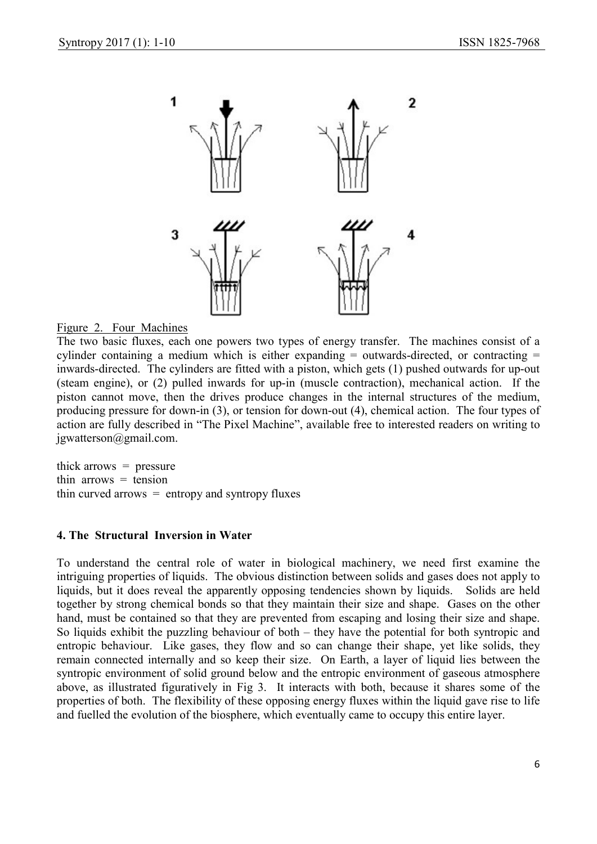

#### Figure 2. Four Machines

The two basic fluxes, each one powers two types of energy transfer. The machines consist of a cylinder containing a medium which is either expanding = outwards-directed, or contracting = inwards-directed. The cylinders are fitted with a piston, which gets (1) pushed outwards for up-out (steam engine), or (2) pulled inwards for up-in (muscle contraction), mechanical action. If the piston cannot move, then the drives produce changes in the internal structures of the medium, producing pressure for down-in (3), or tension for down-out (4), chemical action. The four types of action are fully described in "The Pixel Machine", available free to interested readers on writing to jgwatterson@gmail.com.

thick arrows  $=$  pressure thin arrows  $=$  tension thin curved arrows  $=$  entropy and syntropy fluxes

#### 4. The Structural Inversion in Water

To understand the central role of water in biological machinery, we need first examine the intriguing properties of liquids. The obvious distinction between solids and gases does not apply to liquids, but it does reveal the apparently opposing tendencies shown by liquids. Solids are held together by strong chemical bonds so that they maintain their size and shape. Gases on the other hand, must be contained so that they are prevented from escaping and losing their size and shape. So liquids exhibit the puzzling behaviour of both – they have the potential for both syntropic and entropic behaviour. Like gases, they flow and so can change their shape, yet like solids, they remain connected internally and so keep their size. On Earth, a layer of liquid lies between the syntropic environment of solid ground below and the entropic environment of gaseous atmosphere above, as illustrated figuratively in Fig 3. It interacts with both, because it shares some of the properties of both. The flexibility of these opposing energy fluxes within the liquid gave rise to life and fuelled the evolution of the biosphere, which eventually came to occupy this entire layer.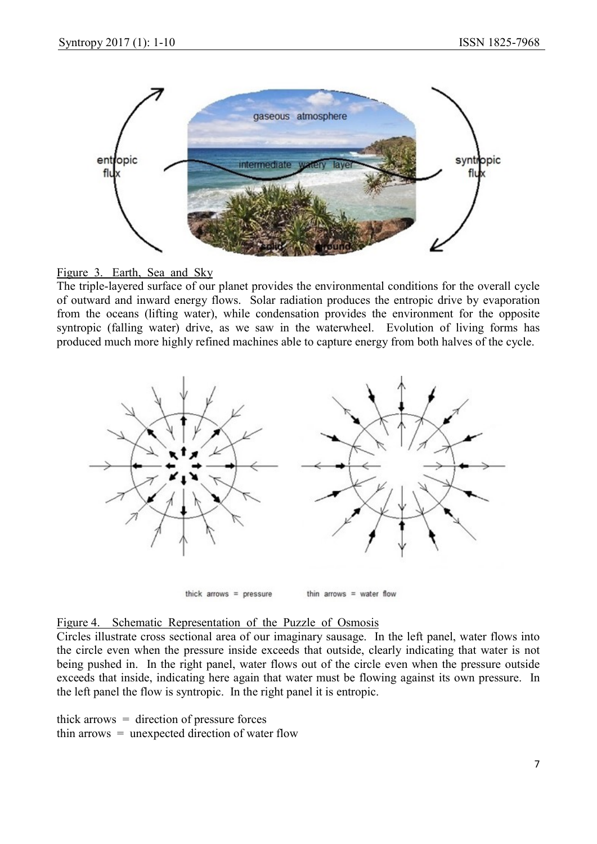



The triple-layered surface of our planet provides the environmental conditions for the overall cycle of outward and inward energy flows. Solar radiation produces the entropic drive by evaporation from the oceans (lifting water), while condensation provides the environment for the opposite syntropic (falling water) drive, as we saw in the waterwheel. Evolution of living forms has produced much more highly refined machines able to capture energy from both halves of the cycle.



thick  $arrows = pressure$ 

thin arrows  $=$  water flow

## Figure 4. Schematic Representation of the Puzzle of Osmosis

Circles illustrate cross sectional area of our imaginary sausage. In the left panel, water flows into the circle even when the pressure inside exceeds that outside, clearly indicating that water is not being pushed in. In the right panel, water flows out of the circle even when the pressure outside exceeds that inside, indicating here again that water must be flowing against its own pressure. In the left panel the flow is syntropic. In the right panel it is entropic.

thick arrows  $=$  direction of pressure forces thin arrows  $=$  unexpected direction of water flow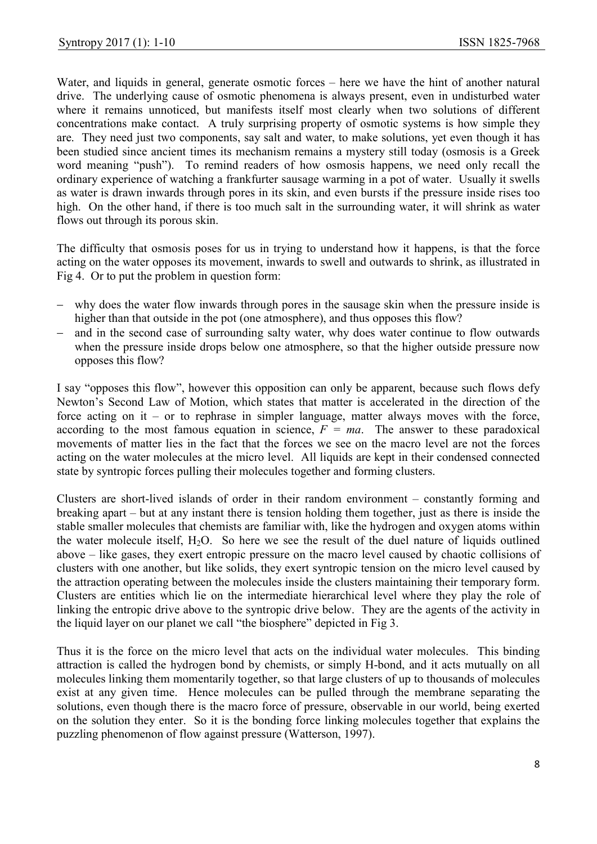Water, and liquids in general, generate osmotic forces – here we have the hint of another natural drive. The underlying cause of osmotic phenomena is always present, even in undisturbed water where it remains unnoticed, but manifests itself most clearly when two solutions of different concentrations make contact. A truly surprising property of osmotic systems is how simple they are. They need just two components, say salt and water, to make solutions, yet even though it has been studied since ancient times its mechanism remains a mystery still today (osmosis is a Greek word meaning "push"). To remind readers of how osmosis happens, we need only recall the ordinary experience of watching a frankfurter sausage warming in a pot of water. Usually it swells as water is drawn inwards through pores in its skin, and even bursts if the pressure inside rises too high. On the other hand, if there is too much salt in the surrounding water, it will shrink as water flows out through its porous skin.

The difficulty that osmosis poses for us in trying to understand how it happens, is that the force acting on the water opposes its movement, inwards to swell and outwards to shrink, as illustrated in Fig 4. Or to put the problem in question form:

- why does the water flow inwards through pores in the sausage skin when the pressure inside is higher than that outside in the pot (one atmosphere), and thus opposes this flow?
- and in the second case of surrounding salty water, why does water continue to flow outwards when the pressure inside drops below one atmosphere, so that the higher outside pressure now opposes this flow?

I say "opposes this flow", however this opposition can only be apparent, because such flows defy Newton's Second Law of Motion, which states that matter is accelerated in the direction of the force acting on it – or to rephrase in simpler language, matter always moves with the force, according to the most famous equation in science,  $F = ma$ . The answer to these paradoxical movements of matter lies in the fact that the forces we see on the macro level are not the forces acting on the water molecules at the micro level. All liquids are kept in their condensed connected state by syntropic forces pulling their molecules together and forming clusters.

Clusters are short-lived islands of order in their random environment – constantly forming and breaking apart – but at any instant there is tension holding them together, just as there is inside the stable smaller molecules that chemists are familiar with, like the hydrogen and oxygen atoms within the water molecule itself,  $H_2O$ . So here we see the result of the duel nature of liquids outlined above – like gases, they exert entropic pressure on the macro level caused by chaotic collisions of clusters with one another, but like solids, they exert syntropic tension on the micro level caused by the attraction operating between the molecules inside the clusters maintaining their temporary form. Clusters are entities which lie on the intermediate hierarchical level where they play the role of linking the entropic drive above to the syntropic drive below. They are the agents of the activity in the liquid layer on our planet we call "the biosphere" depicted in Fig 3.

Thus it is the force on the micro level that acts on the individual water molecules. This binding attraction is called the hydrogen bond by chemists, or simply H-bond, and it acts mutually on all molecules linking them momentarily together, so that large clusters of up to thousands of molecules exist at any given time. Hence molecules can be pulled through the membrane separating the solutions, even though there is the macro force of pressure, observable in our world, being exerted on the solution they enter. So it is the bonding force linking molecules together that explains the puzzling phenomenon of flow against pressure (Watterson, 1997).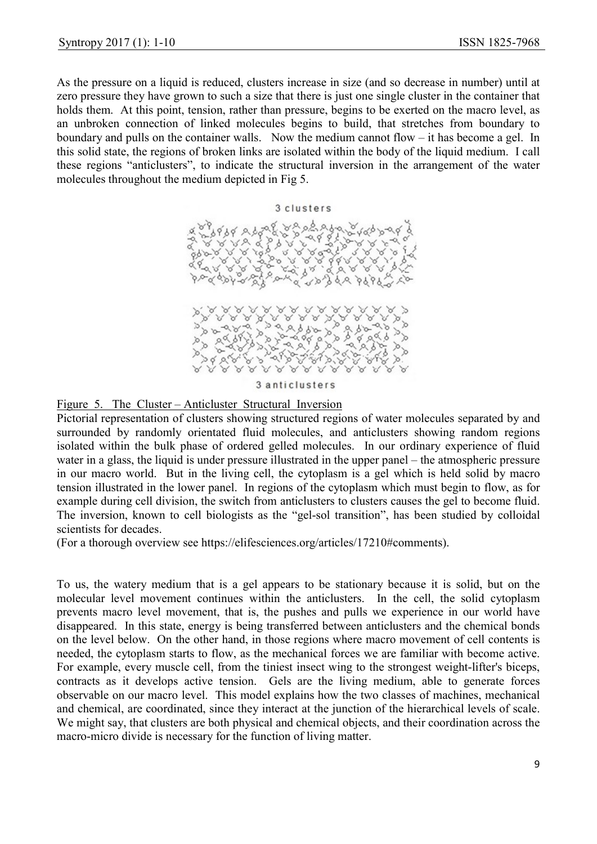As the pressure on a liquid is reduced, clusters increase in size (and so decrease in number) until at zero pressure they have grown to such a size that there is just one single cluster in the container that holds them. At this point, tension, rather than pressure, begins to be exerted on the macro level, as an unbroken connection of linked molecules begins to build, that stretches from boundary to boundary and pulls on the container walls. Now the medium cannot flow – it has become a gel. In this solid state, the regions of broken links are isolated within the body of the liquid medium. I call these regions "anticlusters", to indicate the structural inversion in the arrangement of the water molecules throughout the medium depicted in Fig 5.



Figure 5. The Cluster – Anticluster Structural Inversion

Pictorial representation of clusters showing structured regions of water molecules separated by and surrounded by randomly orientated fluid molecules, and anticlusters showing random regions isolated within the bulk phase of ordered gelled molecules. In our ordinary experience of fluid water in a glass, the liquid is under pressure illustrated in the upper panel – the atmospheric pressure in our macro world. But in the living cell, the cytoplasm is a gel which is held solid by macro tension illustrated in the lower panel. In regions of the cytoplasm which must begin to flow, as for example during cell division, the switch from anticlusters to clusters causes the gel to become fluid. The inversion, known to cell biologists as the "gel-sol transition", has been studied by colloidal scientists for decades.

(For a thorough overview see https://elifesciences.org/articles/17210#comments).

To us, the watery medium that is a gel appears to be stationary because it is solid, but on the molecular level movement continues within the anticlusters. In the cell, the solid cytoplasm prevents macro level movement, that is, the pushes and pulls we experience in our world have disappeared. In this state, energy is being transferred between anticlusters and the chemical bonds on the level below. On the other hand, in those regions where macro movement of cell contents is needed, the cytoplasm starts to flow, as the mechanical forces we are familiar with become active. For example, every muscle cell, from the tiniest insect wing to the strongest weight-lifter's biceps, contracts as it develops active tension. Gels are the living medium, able to generate forces observable on our macro level. This model explains how the two classes of machines, mechanical and chemical, are coordinated, since they interact at the junction of the hierarchical levels of scale. We might say, that clusters are both physical and chemical objects, and their coordination across the macro-micro divide is necessary for the function of living matter.